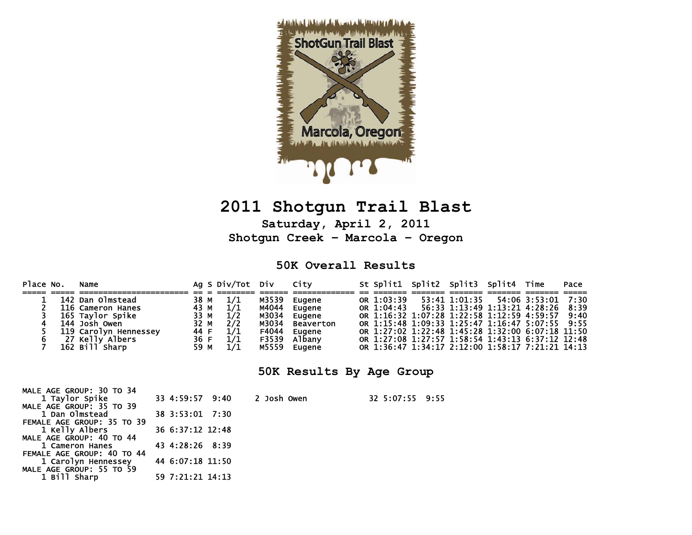

# **2011 Shotgun Trail Blast**

**Saturday, April 2, 2011 Shotgun Creek – Marcola – Oregon** 

#### **50K Overall Results**

| Place No.                                                              | Name                                                                                                                                     |                                                      | Ag S Div/Tot                                  | Div                                                         | City                                                                         |  |                          |                 | St Split1 Split2 Split3 Split4 |                                                                                                                                                                                                                                                                                       | Time          | Pace                         |
|------------------------------------------------------------------------|------------------------------------------------------------------------------------------------------------------------------------------|------------------------------------------------------|-----------------------------------------------|-------------------------------------------------------------|------------------------------------------------------------------------------|--|--------------------------|-----------------|--------------------------------|---------------------------------------------------------------------------------------------------------------------------------------------------------------------------------------------------------------------------------------------------------------------------------------|---------------|------------------------------|
| 6                                                                      | 142 Dan Olmstead<br>116 Cameron Hanes<br>165 Taylor Spike<br>144 Josh Owen<br>119 Carolyn Hennessey<br>27 Kelly Albers<br>162 Bill Sharp | 38 M<br>43 M<br>33 M<br>32 M<br>44 F<br>36 F<br>59 M | 1/1<br>1/1<br>1/2<br>2/2<br>1/1<br>1/1<br>1/1 | M3539<br>M4044<br>M3034<br>M3034<br>F4044<br>F3539<br>M5559 | Eugene<br>Eugene<br>Eugene<br><b>Beaverton</b><br>Eugene<br>Albany<br>Eugene |  | OR 1:03:39<br>OR 1:04:43 |                 | 53:41 1:01:35                  | 56:33 1:13:49 1:13:21 4:28:26<br>OR 1:16:32 1:07:28 1:22:58 1:12:59 4:59:57<br>OR 1:15:48 1:09:33 1:25:47 1:16:47 5:07:55<br>OR 1:27:02 1:22:48 1:45:28 1:32:00 6:07:18 11:50<br>OR 1:27:08 1:27:57 1:58:54 1:43:13 6:37:12 12:48<br>OR 1:36:47 1:34:17 2:12:00 1:58:17 7:21:21 14:13 | 54:06 3:53:01 | 7:30<br>8:39<br>9:40<br>9:55 |
|                                                                        |                                                                                                                                          |                                                      |                                               |                                                             | 50K Results By Age Group                                                     |  |                          |                 |                                |                                                                                                                                                                                                                                                                                       |               |                              |
| MALE AGE GROUP: 30 TO 34<br>1 Taylor Spike<br>MALE AGE GROUP: 35 TO 39 |                                                                                                                                          | 33 4:59:57 9:40                                      |                                               | 2 Josh Owen                                                 |                                                                              |  |                          | 32 5:07:55 9:55 |                                |                                                                                                                                                                                                                                                                                       |               |                              |
| 1 Dan Olmstead                                                         |                                                                                                                                          | 38 3:53:01 7:30                                      |                                               |                                                             |                                                                              |  |                          |                 |                                |                                                                                                                                                                                                                                                                                       |               |                              |
| 1 Kelly Albers<br>MALE AGE GROUP: 40 TO 44                             | FEMALE AGE GROUP: 35 TO 39                                                                                                               | 36 6:37:12 12:48                                     |                                               |                                                             |                                                                              |  |                          |                 |                                |                                                                                                                                                                                                                                                                                       |               |                              |
| 1 Cameron Hanes                                                        |                                                                                                                                          | 43 4:28:26 8:39                                      |                                               |                                                             |                                                                              |  |                          |                 |                                |                                                                                                                                                                                                                                                                                       |               |                              |
| FEMALE AGE GROUP: 40 TO 44                                             | 1 Carolyn Hennessey<br>MALE AGE GROUP: 55 TO 59                                                                                          | 44 6:07:18 11:50                                     |                                               |                                                             |                                                                              |  |                          |                 |                                |                                                                                                                                                                                                                                                                                       |               |                              |
| 1 Bill Sharp                                                           |                                                                                                                                          | 59 7:21:21 14:13                                     |                                               |                                                             |                                                                              |  |                          |                 |                                |                                                                                                                                                                                                                                                                                       |               |                              |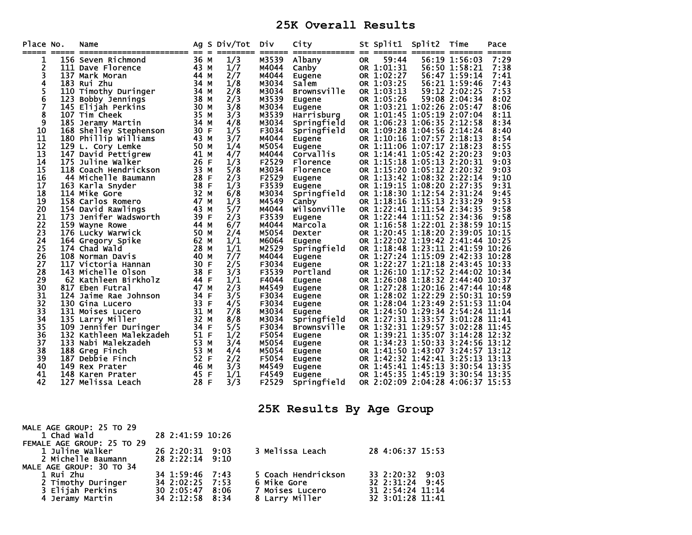#### **25K Overall Results**

| Place No. | ===== | Name<br>===<br>_____________________ | Ag<br>$== =$ | S Div/Tot | Div<br>$=$ $=$ $=$ $=$ $=$ $=$ | City<br>-------------- -- |           | St Split1<br>-------- -- | Split2                           | Time          | Pace  |
|-----------|-------|--------------------------------------|--------------|-----------|--------------------------------|---------------------------|-----------|--------------------------|----------------------------------|---------------|-------|
| 1         |       | 156 Seven Richmond                   | 36 M         | 1/3       | M3539                          | Albany                    | <b>OR</b> | 59:44                    |                                  | 56:19 1:56:03 | 7:29  |
| 2         |       | 111 Dave Florence                    | 43 M         | 1/7       | M4044                          | Canby                     |           | OR 1:01:31               |                                  | 56:50 1:58:21 | 7:38  |
| 3         |       | 137 Mark Moran                       | 44 M         | 2/7       | M4044                          | Eugene                    |           | OR 1:02:27               |                                  | 56:47 1:59:14 | 7:41  |
| 4         |       | 183 Rui Zhu                          | 34 M         | 1/8       | M3034                          | Salem                     |           | OR 1:03:25               |                                  | 56:21 1:59:46 | 7:43  |
| 5         |       | 110 Timothy Duringer                 | 34 M         | 2/8       | M3034                          | <b>Brownsville</b>        |           | OR 1:03:13               |                                  | 59:12 2:02:25 | 7:53  |
| 6         |       | 123 Bobby Jennings                   | 38 M         | 2/3       | M3539                          | Eugene                    |           | OR 1:05:26               |                                  | 59:08 2:04:34 | 8:02  |
| 7         |       | 145 Elijah Perkins                   | 30 M         | 3/8       | M3034                          | Eugene                    |           |                          | OR 1:03:21 1:02:26 2:05:47       |               | 8:06  |
| 8         |       | 107 Tim Cheek                        | 35 M         | 3/3       | M3539                          | Harrisburg                |           |                          | OR 1:01:45 1:05:19 2:07:04       |               | 8:11  |
| 9         |       | 185 Jeramy Martin                    | 34 M         | 4/8       | M3034                          | Springfield               |           |                          | OR 1:06:23 1:06:35 2:12:58       |               | 8:34  |
| 10        |       | 168 Shelley Stephenson               | 30 F         | 1/5       | F3034                          | Springfield               |           |                          | OR 1:09:28 1:04:56 2:14:24       |               | 8:40  |
| 11        |       | 180 Phillip Williams                 | 43 M         | 3/7       | M4044                          | Eugene                    |           |                          | OR 1:10:16 1:07:57 2:18:13       |               | 8:54  |
| 12        |       | 129 L. Cory Lemke                    | 50 M         | 1/4       | M5054                          | Eugene                    |           |                          | OR 1:11:06 1:07:17 2:18:23       |               | 8:55  |
| 13        |       | 147 David Pettigrew                  | 41 M         | 4/7       | M4044                          | Corvallis                 |           |                          | OR 1:14:41 1:05:42 2:20:23       |               | 9:03  |
| 14        |       | 175 Juline Walker                    | 26<br>F      | 1/3       | F2529                          | Florence                  |           |                          | OR 1:15:18 1:05:13 2:20:31       |               | 9:03  |
| 15        |       | 118 Coach Hendrickson                | 33<br>M      | 5/8       | M3034                          | Florence                  |           |                          | OR 1:15:20 1:05:12 2:20:32       |               | 9:03  |
| 16        |       | 44 Michelle Baumann                  | 28<br>-F     | 2/3       | F2529                          | Eugene                    |           |                          | OR 1:13:42 1:08:32 2:22:14       |               | 9:10  |
| 17        |       | 163 Karla Snyder                     | 38 F         | 1/3       | F3539                          | Eugene                    |           |                          | OR 1:19:15 1:08:20 2:27:35       |               | 9:31  |
| 18        |       | 114 Mike Gore                        | 32 M         | 6/8       | M3034                          | Springfield               |           |                          | OR 1:18:30 1:12:54 2:31:24       |               | 9:45  |
| 19        |       | 158 Carlos Romero                    | 47 M         | 1/3       | M4549                          | Canby                     | <b>OR</b> |                          | 1:18:16 1:15:13 2:33:29          |               | 9:53  |
| 20        |       | 154 David Rawlings                   | 43 M         | 5/7       | M4044                          | Wilsonville               |           |                          | OR 1:22:41 1:11:54 2:34:35       |               | 9:58  |
| 21        |       | 173 Jenifer Wadsworth                | 39<br>F      | 2/3       | F3539                          | Eugene                    |           |                          | OR 1:22:44 1:11:52 2:34:36       |               | 9:58  |
| 22        |       | 159 Wayne Rowe                       | 44 M         | 6/7       | M4044                          | Marcola                   |           |                          | OR 1:16:58 1:22:01 2:38:59       |               | 10:15 |
| 23        |       | 176 Lucky Warwick                    | 50 M         | 2/4       | M5054                          | Dexter                    |           |                          | OR 1:20:45 1:18:20 2:39:05       |               | 10:15 |
| 24        |       | 164 Gregory Spike                    | 62 M         | 1/1       | M6064                          | Eugene                    |           |                          | OR 1:22:02 1:19:42 2:41:44 10:25 |               |       |
| 25        |       | 174 Chad Wald                        | 28<br>M      | 1/1       | M2529                          | Springfield               |           |                          | OR 1:18:48 1:23:11 2:41:59 10:26 |               |       |
| 26        |       | 108 Norman Davis                     | 40 M         | 7/7       | M4044                          | Eugene                    |           |                          | OR 1:27:24 1:15:09 2:42:33       |               | 10:28 |
| 27        |       | 117 Victoria Hannan                  | 30 F         | 2/5       | F3034                          | Eugene                    |           |                          | OR 1:22:27 1:21:18 2:43:45 10:33 |               |       |
| 28        |       | 143 Michelle Olson                   | 38<br>F      | 3/3       | F3539                          | Portland                  |           |                          | OR 1:26:10 1:17:52 2:44:02 10:34 |               |       |
| 29        |       | 62 Kathleen Birkholz                 | 44 F         | 1/1       | F4044                          | Eugene                    |           |                          | OR 1:26:08 1:18:32 2:44:40 10:37 |               |       |
| 30        |       | 817 Eben Futral                      | 47 M         | 2/3       | M4549                          | Eugene                    |           |                          | OR 1:27:28 1:20:16 2:47:44 10:48 |               |       |
| 31        |       | 124 Jaime Rae Johnson                | 34 F         | 3/5       | F3034                          | Eugene                    |           |                          | OR 1:28:02 1:22:29 2:50:31 10:59 |               |       |
| 32        |       | 130 Gina Lucero                      | 33 F         | 4/5       | F3034                          | Eugene                    |           |                          | OR 1:28:04 1:23:49 2:51:53 11:04 |               |       |
| 33        |       | 131 Moises Lucero                    | 31 M         | 7/8       | M3034                          | Eugene                    |           |                          | OR 1:24:50 1:29:34 2:54:24 11:14 |               |       |
| 34        |       | 135 Larry Miller                     | 32 M         | 8/8       | M3034                          | Springfield               |           |                          | OR 1:27:31 1:33:57 3:01:28 11:41 |               |       |
| 35        |       | 109 Jennifer Duringer                | 34<br>-F     | 5/5       | F3034                          | <b>Brownsville</b>        |           |                          | OR 1:32:31 1:29:57 3:02:28 11:45 |               |       |
| 36        |       | 132 Kathleen Malekzadeh              | 51 F         | 1/2       | F5054                          | Eugene                    |           |                          | OR 1:39:21 1:35:07 3:14:28       |               | 12:32 |
| 37        |       | 133 Nabi Malekzadeh                  | 53 M         | 3/4       | M5054                          | Eugene                    |           |                          | OR 1:34:23 1:50:33               | 3:24:56 13:12 |       |
| 38        |       | 188 Greg Finch                       | 53 M         | 4/4       | M5054                          | Eugene                    |           |                          | OR 1:41:50 1:43:07 3:24:57 13:12 |               |       |
| 39        |       | 187 Debbie Finch                     | 52 F         | 2/2       | F5054                          | Eugene                    |           |                          | OR 1:42:32 1:42:41 3:25:13 13:13 |               |       |
| 40        |       | 149 Rex Prater                       | 46<br>M      | 3/3       | M4549                          | Eugene                    |           | OR 1:45:41 1:45:13       |                                  | 3:30:54 13:35 |       |
| 41        |       | 148 Karen Prater                     | 45<br>-F     | 1/1       | F4549                          | Eugene                    |           |                          | OR 1:45:35 1:45:19 3:30:54 13:35 |               |       |
| 42        |       | 127 Melissa Leach                    | 28 F         | 3/3       | F2529                          | Springfield               |           |                          | OR 2:02:09 2:04:28 4:06:37 15:53 |               |       |

## **25K Results By Age Group**

| MALE AGE GROUP: 25 TO 29   |                  |                     |                  |
|----------------------------|------------------|---------------------|------------------|
| 1 Chad Wald                | 28 2:41:59 10:26 |                     |                  |
| FEMALE AGE GROUP: 25 TO 29 |                  |                     |                  |
| 1 Juline Walker            | 26 2:20:31 9:03  | 3 Melissa Leach     | 28 4:06:37 15:53 |
| 2 Michelle Baumann         | 28 2:22:14 9:10  |                     |                  |
| MALE AGE GROUP: 30 TO 34   |                  |                     |                  |
| 1 Rui Zhu                  | 34 1:59:46 7:43  | 5 Coach Hendrickson | 33 2:20:32 9:03  |
| 2 Timothy Duringer         | 34 2:02:25 7:53  | <b>6 Mike Gore</b>  | 32 2:31:24 9:45  |
| 3 Elijah Perkins           | 30 2:05:47 8:06  | 7 Moises Lucero     | 31 2:54:24 11:14 |
| 4 Jeramy Martin            | 34 2:12:58 8:34  | 8 Larry Miller      | 32 3:01:28 11:41 |
|                            |                  |                     |                  |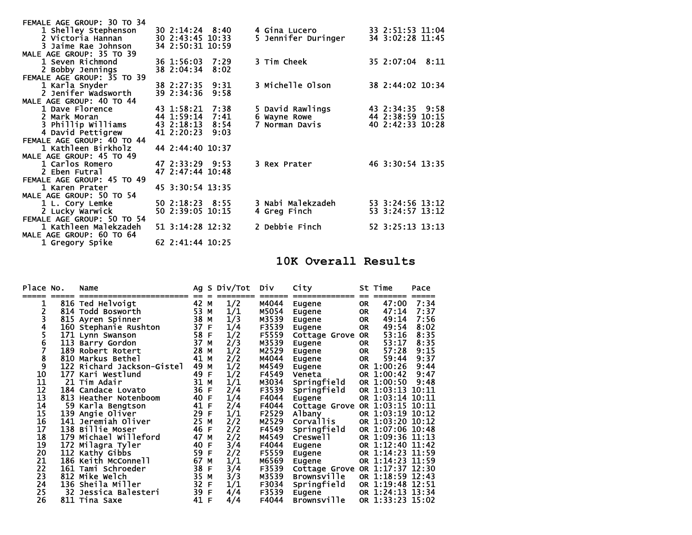| FEMALE AGE GROUP: 30 TO 34 |                  |      |                         |                  |
|----------------------------|------------------|------|-------------------------|------------------|
| 1 Shelley Stephenson       | 30 2:14:24 8:40  |      | 4 Gina Lucero           | 33 2:51:53 11:04 |
| 2 Victoria Hannan          | 30 2:43:45 10:33 |      | 5 Jennifer Duringer     | 34 3:02:28 11:45 |
| 3 Jaime Rae Johnson        | 34 2:50:31 10:59 |      |                         |                  |
| MALE AGE GROUP: 35 TO 39   |                  |      |                         |                  |
| 1 Seven Richmond           | 36 1:56:03       | 7:29 | 3 Tim Cheek             | 35 2:07:04 8:11  |
| 2 Bobby Jennings           | 38 2:04:34       | 8:02 |                         |                  |
| FEMALE AGE GROUP: 35 TO 39 |                  |      |                         |                  |
| 1 Karla Snyder             | 38 2:27:35       | 9:31 | <b>3 Michelle Olson</b> | 38 2:44:02 10:34 |
| 2 Jenifer Wadsworth        | 39 2:34:36       | 9:58 |                         |                  |
| MALE AGE GROUP: 40 TO 44   |                  |      |                         |                  |
| 1 Dave Florence            | 43 1:58:21 7:38  |      | 5 David Rawlings        | 43 2:34:35 9:58  |
| 2 Mark Moran               | 44 1:59:14       | 7:41 | 6 Wayne Rowe            | 44 2:38:59 10:15 |
| 3 Phillip Williams         | 43 2:18:13       | 8:54 | 7 Norman Davis          | 40 2:42:33 10:28 |
| 4 David Pettigrew          | 41 2:20:23       | 9:03 |                         |                  |
| FEMALE AGE GROUP: 40 TO 44 |                  |      |                         |                  |
| 1 Kathleen Birkholz        | 44 2:44:40 10:37 |      |                         |                  |
| MALE AGE GROUP: 45 TO 49   |                  |      |                         |                  |
| 1 Carlos Romero            | 47 2:33:29 9:53  |      | 3 Rex Prater            | 46 3:30:54 13:35 |
| 2 Eben Futral              | 47 2:47:44 10:48 |      |                         |                  |
| FEMALE AGE GROUP: 45 TO 49 |                  |      |                         |                  |
| 1 Karen Prater             | 45 3:30:54 13:35 |      |                         |                  |
| MALE AGE GROUP: 50 TO 54   |                  |      |                         |                  |
| 1 L. Cory Lemke            | 50 2:18:23 8:55  |      | 3 Nabi Malekzadeh       | 53 3:24:56 13:12 |
| 2 Lucky Warwick            | 50 2:39:05 10:15 |      | 4 Greg Finch            | 53 3:24:57 13:12 |
| FEMALE AGE GROUP: 50 TO 54 |                  |      |                         |                  |
| 1 Kathleen Malekzadeh      | 51 3:14:28 12:32 |      | 2 Debbie Finch          | 52 3:25:13 13:13 |
| MALE AGE GROUP: 60 TO 64   |                  |      |                         |                  |
| 1 Gregory Spike            | 62 2:41:44 10:25 |      |                         |                  |

### **10K Overall Results**

| Place No.       |     | Name                       |    |   | Ag S Div/Tot | Div   | City                     |           | St Time          | Pace                       |
|-----------------|-----|----------------------------|----|---|--------------|-------|--------------------------|-----------|------------------|----------------------------|
| 1               |     | 816 Ted Helvoigt           | 42 | м | 1/2          | M4044 | <b>Eugene</b>            | OR        | 47:00            | 7:34                       |
|                 |     | 814 Todd Bosworth          | 53 | M | 1/1          | M5054 | Eugene                   | <b>OR</b> | 47:14            | 7:37                       |
|                 |     | 815 Ayren Spinner          | 38 | M | 1/3          | M3539 | Eugene                   | <b>OR</b> | 49:14            | 7:56                       |
| 4               |     | 160 Stephanie Rushton      | 37 | F | 1/4          | F3539 | Eugene                   | <b>OR</b> | 49:54            | 8:02                       |
|                 |     | 171 Lynn Swanson           | 58 | F | 1/2          | F5559 | Cottage Grove            | <b>OR</b> | 53:16            | 8:35                       |
| 6               |     | 113 Barry Gordon           | 37 | M | 2/3          | M3539 | <b>Eugene</b>            | 0R        | 53:17            | 8:35                       |
| 7               | 189 | Robert Rotert              | 28 | M | 1/2          | M2529 | Eugene                   | <b>OR</b> | 57:28            | 9:15                       |
| 8               |     | 810 Markus Bethel          | 41 | М | 2/2          | M4044 | Eugene                   | OR        | 59:44            | 9:37                       |
| 9               |     | 122 Richard Jackson-Gistel | 49 | М | 1/2          | M4549 | Eugene                   |           | OR 1:00:26       | 9:44                       |
| 10              | 177 | Kari Westlund              | 49 | F | 1/2          | F4549 | Veneta                   |           | OR 1:00:42       | 9:47                       |
| 11              |     | 21 Tim Adair               | 31 | M | 1/1          | M3034 | Springfield              |           | OR 1:00:50       | 9:48                       |
| 12              |     | 184 Candace Lovato         | 36 | F | 2/4          | F3539 | Springfield              |           | OR 1:03:13       | 10:11                      |
| 13              | 813 | Heather Notenboom          | 40 | F | 1/4          | F4044 | Eugene                   |           | OR 1:03:14       | 10:11                      |
| 14              | 59  | Karla Bengtson             | 41 | F | 2/4          | F4044 | Cottage Grove OR 1:03:15 |           |                  | $\textbf{10}: \textbf{11}$ |
| 15              |     | 139 Angie Oliver           | 29 | F | 1/1          | F2529 | Albany                   |           | OR 1:03:19       | 10:12                      |
| 16              |     | 141 Jeremiah Oliver        | 25 | M | 2/2          | M2529 | Corvallis                |           | OR 1:03:20       | 10:12                      |
| 17              |     | 138 Billie Moser           | 46 | F | 2/2          | F4549 | Springfield              |           | OR 1:07:06 10:48 |                            |
| 18              | 179 | Michael Willeford          | 47 | M | 2/2          | M4549 | Creswell                 |           | OR 1:09:36 11:13 |                            |
| 19              |     | 172 Milagra Tyler          | 40 | F | 3/4          | F4044 | Eugene                   |           | OR 1:12:40       | 11:42                      |
| $\frac{20}{21}$ |     | 112 Kathy Gibbs            | 59 | F | 2/2          | F5559 | Eugene                   |           | OR 1:14:23       | 11:59                      |
|                 | 186 | Keith McConnell            | 67 | М | 1/1          | M6569 | Eugene                   |           | OR 1:14:23 11:59 |                            |
| 22              | 161 | Tami Schroeder             | 38 | F | 3/4          | F3539 | Cottage Grove            |           | OR 1:17:37       | 12:30                      |
| 23              |     | 812 Mike Welch             | 35 | M | 3/3          | M3539 | <b>Brownsville</b>       |           | OR 1:18:59       | 12:43                      |
| 24              |     | 136 Sheila Miller          | 32 | F | 1/1          | F3034 | Springfield              |           | OR 1:19:48       | 12:51                      |
| 25              |     | 32 Jessica Balesteri       | 39 | F | 4/4          | F3539 | Eugene                   |           | OR 1:24:13       | 13:34                      |
| 26              |     | 811 Tina Saxe              | 41 | F | 4/4          | F4044 | <b>Brownsville</b>       |           | OR 1:33:23 15:02 |                            |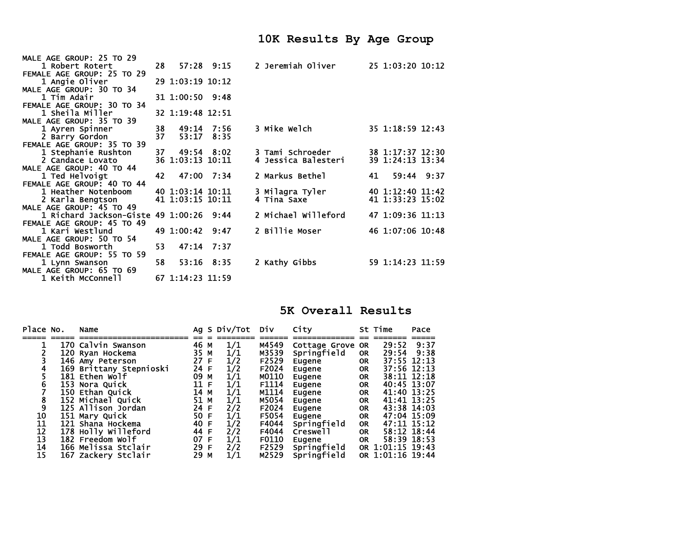| MALE AGE GROUP: 25 TO 29   |      |                  |                |                     |    |                  |  |
|----------------------------|------|------------------|----------------|---------------------|----|------------------|--|
| 1 Robert Rotert            | 28.  |                  | $57:28$ $9:15$ | 2 Jeremiah Oliver   |    | 25 1:03:20 10:12 |  |
| FEMALE AGE GROUP: 25 TO 29 |      |                  |                |                     |    |                  |  |
| 1 Angie Oliver             |      | 29 1:03:19 10:12 |                |                     |    |                  |  |
| MALE AGE GROUP: 30 TO 34   |      |                  |                |                     |    |                  |  |
| 1 Tim Adair                |      | 31 1:00:50 9:48  |                |                     |    |                  |  |
| FEMALE AGE GROUP: 30 TO 34 |      |                  |                |                     |    |                  |  |
| 1 Sheila Miller            |      | 32 1:19:48 12:51 |                |                     |    |                  |  |
| MALE AGE GROUP: 35 TO 39   |      |                  |                |                     |    |                  |  |
| 1 Ayren Spinner            | 38   | 49:14 7:56       |                | 3 Mike Welch        |    | 35 1:18:59 12:43 |  |
| 2 Barry Gordon             | 37   | 53:17            | 8:35           |                     |    |                  |  |
| FEMALE AGE GROUP: 35 TO 39 |      |                  |                |                     |    |                  |  |
| 1 Stephanie Rushton        | 37 - | 49:54 8:02       |                | 3 Tami Schroeder    |    | 38 1:17:37 12:30 |  |
| 2 Candace Lovato           |      | 36 1:03:13 10:11 |                | 4 Jessica Balesteri |    | 39 1:24:13 13:34 |  |
| MALE AGE GROUP: 40 TO 44   |      |                  |                |                     |    |                  |  |
| 1 Ted Helvoigt             | 42   | 47:00 7:34       |                | 2 Markus Bethel     | 41 | 59:44 9:37       |  |
| FEMALE AGE GROUP: 40 TO 44 |      |                  |                |                     |    |                  |  |
| 1 Heather Notenboom        |      | 40 1:03:14 10:11 |                | 3 Milagra Tyler     |    | 40 1:12:40 11:42 |  |
| 2 Karla Bengtson           |      | 41 1:03:15 10:11 |                | 4 Tina Saxe         |    | 41 1:33:23 15:02 |  |
| MALE AGE GROUP: 45 TO 49   |      |                  |                |                     |    |                  |  |
| 1 Richard Jackson-Giste    |      | 49 1:00:26 9:44  |                | 2 Michael Willeford |    | 47 1:09:36 11:13 |  |
| FEMALE AGE GROUP: 45 TO 49 |      |                  |                |                     |    |                  |  |
| 1 Kari Westlund            |      | 49 1:00:42       | 9:47           | 2 Billie Moser      |    | 46 1:07:06 10:48 |  |
| MALE AGE GROUP: 50 TO 54   |      |                  |                |                     |    |                  |  |
| 1 Todd Bosworth            | 53.  |                  | 47:14 7:37     |                     |    |                  |  |
| FEMALE AGE GROUP: 55 TO 59 |      |                  |                |                     |    |                  |  |
| 1 Lynn Swanson             | 58   |                  | 53:16 8:35     | 2 Kathy Gibbs       |    | 59 1:14:23 11:59 |  |
| MALE AGE GROUP: 65 TO 69   |      |                  |                |                     |    |                  |  |
| 1 Keith McConnell          |      | 67 1:14:23 11:59 |                |                     |    |                  |  |

**5K Overall Results** 

| Place No. | Name                    |      |   | Ag S Div/Tot | Div   | City             |           | St Time          | Pace |
|-----------|-------------------------|------|---|--------------|-------|------------------|-----------|------------------|------|
|           |                         |      |   |              |       |                  |           |                  |      |
|           | 170 Calvin Swanson      | 46   | М | 1/1          | M4549 | Cottage Grove OR |           | 29:52            | 9:37 |
|           | 120 Ryan Hockema        | 35   | М | 1/1          | M3539 | Springfield      | 0R        | 29:54            | 9:38 |
|           | 146 Amy Peterson        | 27 F |   | 1/2          | F2529 | Eugene           | <b>OR</b> | 37:55 12:13      |      |
|           | 169 Brittany Stepnioski | 24 F |   | 1/2          | F2024 | Eugene           | 0R        | 37:56 12:13      |      |
|           | 181 Ethen Wolf          | 09   | M | 1/1          | M0110 | Eugene           | <b>OR</b> | 38:11 12:18      |      |
|           | 153 Nora Quick          | 11 F |   | 1/1          | F1114 | Eugene           | <b>OR</b> | 40:45 13:07      |      |
|           | 150 Ethan Quick         | 14   | M | 1/1          | M1114 | Eugene           | <b>OR</b> | 41:40 13:25      |      |
| 8         | 152 Michael Quick       | 51   | M | 1/1          | M5054 | Eugene           | <b>OR</b> | 41:41 13:25      |      |
| 9         | 125 Allison Jordan      | 24 F |   | 2/2          | F2024 | Eugene           | <b>OR</b> | 43:38 14:03      |      |
| 10        | 151 Mary Quick          | 50 F |   | 1/1          | F5054 | Eugene           | <b>OR</b> | 47:04 15:09      |      |
| 11        | 121 Shana Hockema       | 40 F |   | 1/2          | F4044 | Springfield      | OR.       | 47:11 15:12      |      |
| 12        | 178 Holly Willeford     | 44 F |   | 2/2          | F4044 | Creswell         | <b>OR</b> | 58:12 18:44      |      |
| 13        | 182 Freedom Wolf        | 07 F |   | 1/1          | F0110 | Eugene           | OR.       | 58:39 18:53      |      |
| 14        | 166 Melissa Stclair     | 29 F |   | 2/2          | F2529 | Springfield      |           | OR 1:01:15 19:43 |      |
| 15        | 167 Zackery Stclair     | 29   | М | 1/1          | M2529 | Springfield      |           | OR 1:01:16 19:44 |      |